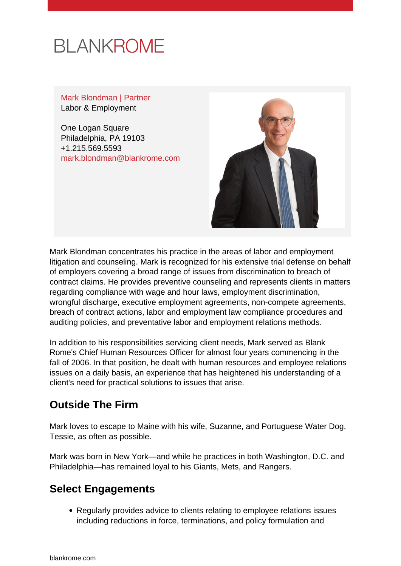

Mark Blondman | Partner Labor & Employment

One Logan Square Philadelphia, PA 19103 +1.215.569.5593 [mark.blondman@blankrome.com](mailto:mark.blondman@blankrome.com)



Mark Blondman concentrates his practice in the areas of labor and employment litigation and counseling. Mark is recognized for his extensive trial defense on behalf of employers covering a broad range of issues from discrimination to breach of contract claims. He provides preventive counseling and represents clients in matters regarding compliance with wage and hour laws, employment discrimination, wrongful discharge, executive employment agreements, non-compete agreements, breach of contract actions, labor and employment law compliance procedures and auditing policies, and preventative labor and employment relations methods.

In addition to his responsibilities servicing client needs, Mark served as Blank Rome's Chief Human Resources Officer for almost four years commencing in the fall of 2006. In that position, he dealt with human resources and employee relations issues on a daily basis, an experience that has heightened his understanding of a client's need for practical solutions to issues that arise.

# **Outside The Firm**

Mark loves to escape to Maine with his wife, Suzanne, and Portuguese Water Dog, Tessie, as often as possible.

Mark was born in New York—and while he practices in both Washington, D.C. and Philadelphia—has remained loyal to his Giants, Mets, and Rangers.

### **Select Engagements**

Regularly provides advice to clients relating to employee relations issues including reductions in force, terminations, and policy formulation and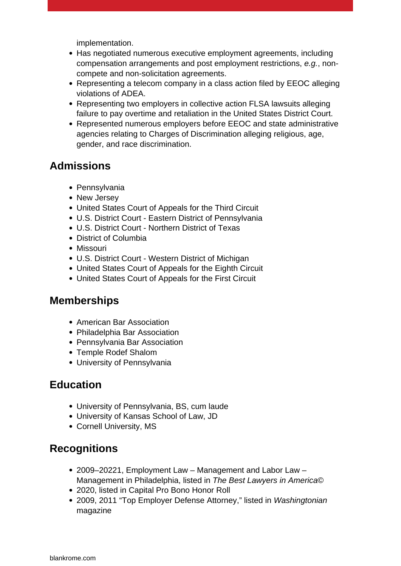implementation.

- Has negotiated numerous executive employment agreements, including compensation arrangements and post employment restrictions, e.g., noncompete and non-solicitation agreements.
- Representing a telecom company in a class action filed by EEOC alleging violations of ADEA.
- Representing two employers in collective action FLSA lawsuits alleging failure to pay overtime and retaliation in the United States District Court.
- Represented numerous employers before EEOC and state administrative agencies relating to Charges of Discrimination alleging religious, age, gender, and race discrimination.

# **Admissions**

- Pennsylvania
- New Jersey
- United States Court of Appeals for the Third Circuit
- U.S. District Court Eastern District of Pennsylvania
- U.S. District Court Northern District of Texas
- District of Columbia
- Missouri
- U.S. District Court Western District of Michigan
- United States Court of Appeals for the Eighth Circuit
- United States Court of Appeals for the First Circuit

### **Memberships**

- American Bar Association
- Philadelphia Bar Association
- Pennsylvania Bar Association
- Temple Rodef Shalom
- University of Pennsylvania

# **Education**

- University of Pennsylvania, BS, cum laude
- University of Kansas School of Law, JD
- Cornell University, MS

# **Recognitions**

- 2009–20221, Employment Law Management and Labor Law Management in Philadelphia, listed in The Best Lawyers in America©
- 2020, listed in Capital Pro Bono Honor Roll
- 2009, 2011 "Top Employer Defense Attorney," listed in Washingtonian magazine